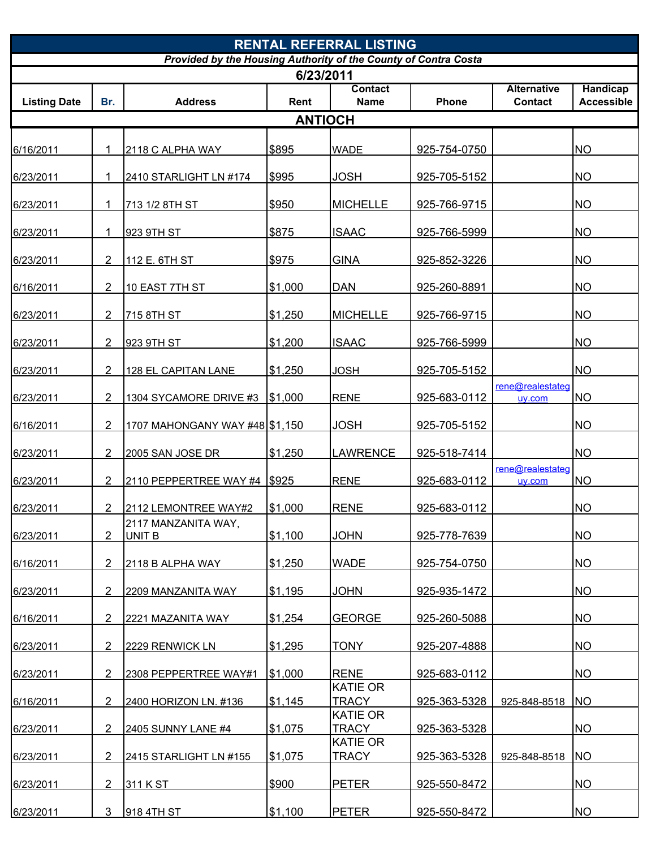| <b>RENTAL REFERRAL LISTING</b><br>Provided by the Housing Authority of the County of Contra Costa<br>6/23/2011 |                |                                |         |                 |              |                  |                   |  |  |
|----------------------------------------------------------------------------------------------------------------|----------------|--------------------------------|---------|-----------------|--------------|------------------|-------------------|--|--|
|                                                                                                                |                |                                |         |                 |              |                  |                   |  |  |
| <b>Listing Date</b>                                                                                            | Br.            | <b>Address</b>                 | Rent    | <b>Name</b>     | Phone        | <b>Contact</b>   | <b>Accessible</b> |  |  |
|                                                                                                                |                |                                |         | <b>ANTIOCH</b>  |              |                  |                   |  |  |
|                                                                                                                |                |                                |         |                 |              |                  |                   |  |  |
| 6/16/2011                                                                                                      | 1              | 2118 C ALPHA WAY               | \$895   | <b>WADE</b>     | 925-754-0750 |                  | <b>NO</b>         |  |  |
|                                                                                                                |                |                                |         |                 |              |                  |                   |  |  |
| 6/23/2011                                                                                                      |                | 2410 STARLIGHT LN #174         | \$995   | JOSH            | 925-705-5152 |                  | <b>NO</b>         |  |  |
|                                                                                                                |                |                                |         |                 |              |                  |                   |  |  |
| 6/23/2011                                                                                                      | 1              | 713 1/2 8TH ST                 | \$950   | <b>MICHELLE</b> | 925-766-9715 |                  | <b>NO</b>         |  |  |
| 6/23/2011                                                                                                      | 1              | 923 9TH ST                     | \$875   | <b>ISAAC</b>    | 925-766-5999 |                  | <b>NO</b>         |  |  |
|                                                                                                                |                |                                |         |                 |              |                  |                   |  |  |
| 6/23/2011                                                                                                      | 2              | 112 E. 6TH ST                  | \$975   | <b>GINA</b>     | 925-852-3226 |                  | <b>NO</b>         |  |  |
|                                                                                                                |                |                                |         |                 |              |                  |                   |  |  |
| 6/16/2011                                                                                                      | 2              | 10 EAST 7TH ST                 | \$1,000 | <b>DAN</b>      | 925-260-8891 |                  | <b>NO</b>         |  |  |
| 6/23/2011                                                                                                      | 2              | 715 8TH ST                     | \$1,250 | <b>MICHELLE</b> | 925-766-9715 |                  | <b>NO</b>         |  |  |
|                                                                                                                |                |                                |         |                 |              |                  |                   |  |  |
| 6/23/2011                                                                                                      | 2              | 923 9TH ST                     | \$1,200 | <b>ISAAC</b>    | 925-766-5999 |                  | <b>NO</b>         |  |  |
|                                                                                                                |                |                                |         |                 |              |                  |                   |  |  |
| 6/23/2011                                                                                                      | 2              | 128 EL CAPITAN LANE            | \$1,250 | <b>JOSH</b>     | 925-705-5152 |                  | <b>NO</b>         |  |  |
|                                                                                                                |                |                                |         |                 |              | rene@realestateg |                   |  |  |
| 6/23/2011                                                                                                      | 2              | 1304 SYCAMORE DRIVE #3         | \$1,000 | <b>RENE</b>     | 925-683-0112 | uv.com           | <b>NO</b>         |  |  |
| 6/16/2011                                                                                                      | $\overline{2}$ | 1707 MAHONGANY WAY #48 \$1,150 |         | <b>JOSH</b>     | 925-705-5152 |                  | <b>NO</b>         |  |  |
|                                                                                                                |                |                                |         |                 |              |                  |                   |  |  |
| 6/23/2011                                                                                                      | 2              | 2005 SAN JOSE DR               | \$1,250 | <b>LAWRENCE</b> | 925-518-7414 |                  | <b>NO</b>         |  |  |
|                                                                                                                |                |                                |         |                 |              | rene@realestateg |                   |  |  |
| 6/23/2011                                                                                                      | $\overline{2}$ | 2110 PEPPERTREE WAY #4 \$925   |         | <b>RENE</b>     | 925-683-0112 | uv.com           | <b>NO</b>         |  |  |
| 6/23/2011                                                                                                      | $\overline{2}$ | 2112 LEMONTREE WAY#2           | \$1,000 | <b>RENE</b>     | 925-683-0112 |                  | <b>NO</b>         |  |  |
|                                                                                                                |                | 2117 MANZANITA WAY,            |         |                 |              |                  |                   |  |  |
| 6/23/2011                                                                                                      | 2              | <b>UNIT B</b>                  | \$1,100 | <b>JOHN</b>     | 925-778-7639 |                  | <b>NO</b>         |  |  |
|                                                                                                                |                |                                |         |                 |              |                  |                   |  |  |
| 6/16/2011                                                                                                      | 2              | 2118 B ALPHA WAY               | \$1,250 | <b>WADE</b>     | 925-754-0750 |                  | <b>NO</b>         |  |  |
| 6/23/2011                                                                                                      | 2              | 2209 MANZANITA WAY             | \$1,195 | <b>JOHN</b>     | 925-935-1472 |                  | <b>NO</b>         |  |  |
|                                                                                                                |                |                                |         |                 |              |                  |                   |  |  |
| 6/16/2011                                                                                                      | $\overline{2}$ | 2221 MAZANITA WAY              | \$1,254 | <b>GEORGE</b>   | 925-260-5088 |                  | <b>NO</b>         |  |  |
|                                                                                                                |                |                                |         |                 |              |                  |                   |  |  |
| 6/23/2011                                                                                                      | 2              | 2229 RENWICK LN                | \$1,295 | <b>TONY</b>     | 925-207-4888 |                  | <b>NO</b>         |  |  |
|                                                                                                                | 2              |                                | \$1,000 | <b>RENE</b>     |              |                  |                   |  |  |
| 6/23/2011                                                                                                      |                | 2308 PEPPERTREE WAY#1          |         | <b>KATIE OR</b> | 925-683-0112 |                  | <b>NO</b>         |  |  |
| 6/16/2011                                                                                                      | $\overline{2}$ | 2400 HORIZON LN. #136          | \$1,145 | <b>TRACY</b>    | 925-363-5328 | 925-848-8518     | <b>NO</b>         |  |  |
|                                                                                                                |                |                                |         | <b>KATIE OR</b> |              |                  |                   |  |  |
| 6/23/2011                                                                                                      | 2              | 2405 SUNNY LANE #4             | \$1,075 | TRACY           | 925-363-5328 |                  | <b>NO</b>         |  |  |
|                                                                                                                |                |                                |         | <b>KATIE OR</b> |              |                  |                   |  |  |
| 6/23/2011                                                                                                      | 2              | 2415 STARLIGHT LN #155         | \$1,075 | <b>TRACY</b>    | 925-363-5328 | 925-848-8518     | <b>NO</b>         |  |  |
| 6/23/2011                                                                                                      | 2              | 311 K ST                       | \$900   | <b>PETER</b>    | 925-550-8472 |                  | <b>NO</b>         |  |  |
|                                                                                                                |                |                                |         |                 |              |                  |                   |  |  |
| 6/23/2011                                                                                                      | 3              | 918 4TH ST                     | \$1,100 | <b>PETER</b>    | 925-550-8472 |                  | <b>NO</b>         |  |  |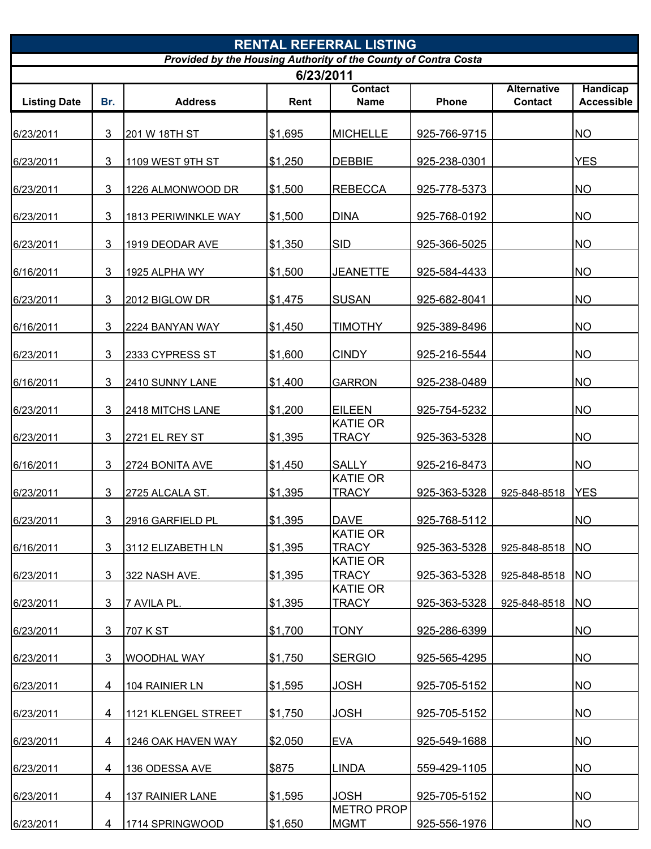| Provided by the Housing Authority of the County of Contra Costa<br>6/23/2011<br><b>Handicap</b><br><b>Contact</b><br><b>Alternative</b><br><b>Listing Date</b><br>Br.<br><b>Address</b><br>Phone<br><b>Contact</b><br>Rent<br><b>Name</b><br><b>NO</b><br>3<br>\$1,695<br><b>MICHELLE</b><br>201 W 18TH ST<br>925-766-9715<br>6/23/2011<br>3<br><b>YES</b><br>\$1,250<br><b>DEBBIE</b><br>1109 WEST 9TH ST<br>925-238-0301<br>6/23/2011<br>3<br><b>REBECCA</b><br><b>NO</b><br>1226 ALMONWOOD DR<br>\$1,500<br>925-778-5373<br>6/23/2011<br><b>DINA</b><br><b>NO</b><br>3<br>925-768-0192<br>\$1,500<br>6/23/2011<br>1813 PERIWINKLE WAY<br><b>SID</b><br>3<br><b>NO</b><br>\$1,350<br>925-366-5025<br>6/23/2011<br>1919 DEODAR AVE<br>3<br>\$1,500<br><b>JEANETTE</b><br><b>NO</b><br>1925 ALPHA WY<br>925-584-4433<br>6/16/2011<br><b>NO</b><br>3<br><b>SUSAN</b><br>\$1,475<br>925-682-8041<br>6/23/2011<br>2012 BIGLOW DR<br>3<br><b>TIMOTHY</b><br><b>NO</b><br>\$1,450<br>925-389-8496<br>6/16/2011<br>2224 BANYAN WAY<br>3<br><b>CINDY</b><br><b>NO</b><br>\$1,600<br>925-216-5544<br>6/23/2011<br>2333 CYPRESS ST<br><b>NO</b><br>3<br>\$1,400<br><b>GARRON</b><br>925-238-0489<br>6/16/2011<br>2410 SUNNY LANE<br>\$1,200<br><b>EILEEN</b><br><b>NO</b><br>3<br>925-754-5232<br>6/23/2011<br>2418 MITCHS LANE<br><b>KATIE OR</b><br>\$1,395<br><b>NO</b><br>3<br><b>TRACY</b><br>925-363-5328<br><b>2721 EL REY ST</b><br>6/23/2011<br>3<br><b>SALLY</b><br><b>NO</b><br>\$1,450<br>925-216-8473<br>6/16/2011<br>2724 BONITA AVE<br><b>KATIE OR</b><br>3<br><b>TRACY</b><br><b>YES</b><br>\$1,395<br>925-363-5328<br>6/23/2011<br>2725 ALCALA ST.<br>925-848-8518<br>\$1,395<br><b>DAVE</b><br><b>NO</b><br>3<br>925-768-5112<br>6/23/2011<br>2916 GARFIELD PL<br><b>KATIE OR</b><br>\$1,395<br><b>TRACY</b><br>3<br>925-363-5328<br><b>NO</b><br>6/16/2011<br>3112 ELIZABETH LN<br>925-848-8518<br><b>KATIE OR</b><br>\$1,395<br>3<br><b>TRACY</b><br><b>NO</b><br>925-363-5328<br>6/23/2011<br>322 NASH AVE.<br>925-848-8518<br><b>KATIE OR</b><br><b>NO</b><br>3<br>\$1,395<br><b>TRACY</b><br>925-363-5328<br>6/23/2011<br>7 AVILA PL.<br>925-848-8518<br>3<br><b>NO</b><br>\$1,700<br><b>TONY</b><br>707 K ST<br>925-286-6399<br>6/23/2011<br>3<br><b>SERGIO</b><br><b>NO</b><br>\$1,750<br>925-565-4295<br>6/23/2011<br><b>WOODHAL WAY</b><br><b>NO</b><br>\$1,595<br><b>JOSH</b><br>4<br>925-705-5152<br>6/23/2011<br>104 RAINIER LN<br>\$1,750<br><b>JOSH</b><br><b>NO</b><br>925-705-5152<br>6/23/2011<br>4<br>1121 KLENGEL STREET<br><b>NO</b><br>\$2,050<br><b>EVA</b><br>925-549-1688<br>4<br>1246 OAK HAVEN WAY<br>6/23/2011<br>\$875<br>LINDA<br><b>NO</b><br>4<br>136 ODESSA AVE<br>559-429-1105<br>6/23/2011<br><b>JOSH</b><br><b>NO</b><br>\$1,595<br>925-705-5152<br>6/23/2011<br>4<br><b>137 RAINIER LANE</b><br><b>METRO PROP</b><br><b>NO</b><br>\$1,650<br><b>MGMT</b><br>1714 SPRINGWOOD<br>925-556-1976<br>6/23/2011<br>4 | <b>RENTAL REFERRAL LISTING</b> |  |  |  |  |  |  |                   |  |  |
|------------------------------------------------------------------------------------------------------------------------------------------------------------------------------------------------------------------------------------------------------------------------------------------------------------------------------------------------------------------------------------------------------------------------------------------------------------------------------------------------------------------------------------------------------------------------------------------------------------------------------------------------------------------------------------------------------------------------------------------------------------------------------------------------------------------------------------------------------------------------------------------------------------------------------------------------------------------------------------------------------------------------------------------------------------------------------------------------------------------------------------------------------------------------------------------------------------------------------------------------------------------------------------------------------------------------------------------------------------------------------------------------------------------------------------------------------------------------------------------------------------------------------------------------------------------------------------------------------------------------------------------------------------------------------------------------------------------------------------------------------------------------------------------------------------------------------------------------------------------------------------------------------------------------------------------------------------------------------------------------------------------------------------------------------------------------------------------------------------------------------------------------------------------------------------------------------------------------------------------------------------------------------------------------------------------------------------------------------------------------------------------------------------------------------------------------------------------------------------------------------------------------------------------------------------------------------------------------------------------------------------------------------------------------------------------------------------------------------------------------------------------------------------------------------------------------------------------------------------------------------------------------------------------------------------------------------------|--------------------------------|--|--|--|--|--|--|-------------------|--|--|
|                                                                                                                                                                                                                                                                                                                                                                                                                                                                                                                                                                                                                                                                                                                                                                                                                                                                                                                                                                                                                                                                                                                                                                                                                                                                                                                                                                                                                                                                                                                                                                                                                                                                                                                                                                                                                                                                                                                                                                                                                                                                                                                                                                                                                                                                                                                                                                                                                                                                                                                                                                                                                                                                                                                                                                                                                                                                                                                                                            |                                |  |  |  |  |  |  |                   |  |  |
|                                                                                                                                                                                                                                                                                                                                                                                                                                                                                                                                                                                                                                                                                                                                                                                                                                                                                                                                                                                                                                                                                                                                                                                                                                                                                                                                                                                                                                                                                                                                                                                                                                                                                                                                                                                                                                                                                                                                                                                                                                                                                                                                                                                                                                                                                                                                                                                                                                                                                                                                                                                                                                                                                                                                                                                                                                                                                                                                                            |                                |  |  |  |  |  |  |                   |  |  |
|                                                                                                                                                                                                                                                                                                                                                                                                                                                                                                                                                                                                                                                                                                                                                                                                                                                                                                                                                                                                                                                                                                                                                                                                                                                                                                                                                                                                                                                                                                                                                                                                                                                                                                                                                                                                                                                                                                                                                                                                                                                                                                                                                                                                                                                                                                                                                                                                                                                                                                                                                                                                                                                                                                                                                                                                                                                                                                                                                            |                                |  |  |  |  |  |  | <b>Accessible</b> |  |  |
|                                                                                                                                                                                                                                                                                                                                                                                                                                                                                                                                                                                                                                                                                                                                                                                                                                                                                                                                                                                                                                                                                                                                                                                                                                                                                                                                                                                                                                                                                                                                                                                                                                                                                                                                                                                                                                                                                                                                                                                                                                                                                                                                                                                                                                                                                                                                                                                                                                                                                                                                                                                                                                                                                                                                                                                                                                                                                                                                                            |                                |  |  |  |  |  |  |                   |  |  |
|                                                                                                                                                                                                                                                                                                                                                                                                                                                                                                                                                                                                                                                                                                                                                                                                                                                                                                                                                                                                                                                                                                                                                                                                                                                                                                                                                                                                                                                                                                                                                                                                                                                                                                                                                                                                                                                                                                                                                                                                                                                                                                                                                                                                                                                                                                                                                                                                                                                                                                                                                                                                                                                                                                                                                                                                                                                                                                                                                            |                                |  |  |  |  |  |  |                   |  |  |
|                                                                                                                                                                                                                                                                                                                                                                                                                                                                                                                                                                                                                                                                                                                                                                                                                                                                                                                                                                                                                                                                                                                                                                                                                                                                                                                                                                                                                                                                                                                                                                                                                                                                                                                                                                                                                                                                                                                                                                                                                                                                                                                                                                                                                                                                                                                                                                                                                                                                                                                                                                                                                                                                                                                                                                                                                                                                                                                                                            |                                |  |  |  |  |  |  |                   |  |  |
|                                                                                                                                                                                                                                                                                                                                                                                                                                                                                                                                                                                                                                                                                                                                                                                                                                                                                                                                                                                                                                                                                                                                                                                                                                                                                                                                                                                                                                                                                                                                                                                                                                                                                                                                                                                                                                                                                                                                                                                                                                                                                                                                                                                                                                                                                                                                                                                                                                                                                                                                                                                                                                                                                                                                                                                                                                                                                                                                                            |                                |  |  |  |  |  |  |                   |  |  |
|                                                                                                                                                                                                                                                                                                                                                                                                                                                                                                                                                                                                                                                                                                                                                                                                                                                                                                                                                                                                                                                                                                                                                                                                                                                                                                                                                                                                                                                                                                                                                                                                                                                                                                                                                                                                                                                                                                                                                                                                                                                                                                                                                                                                                                                                                                                                                                                                                                                                                                                                                                                                                                                                                                                                                                                                                                                                                                                                                            |                                |  |  |  |  |  |  |                   |  |  |
|                                                                                                                                                                                                                                                                                                                                                                                                                                                                                                                                                                                                                                                                                                                                                                                                                                                                                                                                                                                                                                                                                                                                                                                                                                                                                                                                                                                                                                                                                                                                                                                                                                                                                                                                                                                                                                                                                                                                                                                                                                                                                                                                                                                                                                                                                                                                                                                                                                                                                                                                                                                                                                                                                                                                                                                                                                                                                                                                                            |                                |  |  |  |  |  |  |                   |  |  |
|                                                                                                                                                                                                                                                                                                                                                                                                                                                                                                                                                                                                                                                                                                                                                                                                                                                                                                                                                                                                                                                                                                                                                                                                                                                                                                                                                                                                                                                                                                                                                                                                                                                                                                                                                                                                                                                                                                                                                                                                                                                                                                                                                                                                                                                                                                                                                                                                                                                                                                                                                                                                                                                                                                                                                                                                                                                                                                                                                            |                                |  |  |  |  |  |  |                   |  |  |
|                                                                                                                                                                                                                                                                                                                                                                                                                                                                                                                                                                                                                                                                                                                                                                                                                                                                                                                                                                                                                                                                                                                                                                                                                                                                                                                                                                                                                                                                                                                                                                                                                                                                                                                                                                                                                                                                                                                                                                                                                                                                                                                                                                                                                                                                                                                                                                                                                                                                                                                                                                                                                                                                                                                                                                                                                                                                                                                                                            |                                |  |  |  |  |  |  |                   |  |  |
|                                                                                                                                                                                                                                                                                                                                                                                                                                                                                                                                                                                                                                                                                                                                                                                                                                                                                                                                                                                                                                                                                                                                                                                                                                                                                                                                                                                                                                                                                                                                                                                                                                                                                                                                                                                                                                                                                                                                                                                                                                                                                                                                                                                                                                                                                                                                                                                                                                                                                                                                                                                                                                                                                                                                                                                                                                                                                                                                                            |                                |  |  |  |  |  |  |                   |  |  |
|                                                                                                                                                                                                                                                                                                                                                                                                                                                                                                                                                                                                                                                                                                                                                                                                                                                                                                                                                                                                                                                                                                                                                                                                                                                                                                                                                                                                                                                                                                                                                                                                                                                                                                                                                                                                                                                                                                                                                                                                                                                                                                                                                                                                                                                                                                                                                                                                                                                                                                                                                                                                                                                                                                                                                                                                                                                                                                                                                            |                                |  |  |  |  |  |  |                   |  |  |
|                                                                                                                                                                                                                                                                                                                                                                                                                                                                                                                                                                                                                                                                                                                                                                                                                                                                                                                                                                                                                                                                                                                                                                                                                                                                                                                                                                                                                                                                                                                                                                                                                                                                                                                                                                                                                                                                                                                                                                                                                                                                                                                                                                                                                                                                                                                                                                                                                                                                                                                                                                                                                                                                                                                                                                                                                                                                                                                                                            |                                |  |  |  |  |  |  |                   |  |  |
|                                                                                                                                                                                                                                                                                                                                                                                                                                                                                                                                                                                                                                                                                                                                                                                                                                                                                                                                                                                                                                                                                                                                                                                                                                                                                                                                                                                                                                                                                                                                                                                                                                                                                                                                                                                                                                                                                                                                                                                                                                                                                                                                                                                                                                                                                                                                                                                                                                                                                                                                                                                                                                                                                                                                                                                                                                                                                                                                                            |                                |  |  |  |  |  |  |                   |  |  |
|                                                                                                                                                                                                                                                                                                                                                                                                                                                                                                                                                                                                                                                                                                                                                                                                                                                                                                                                                                                                                                                                                                                                                                                                                                                                                                                                                                                                                                                                                                                                                                                                                                                                                                                                                                                                                                                                                                                                                                                                                                                                                                                                                                                                                                                                                                                                                                                                                                                                                                                                                                                                                                                                                                                                                                                                                                                                                                                                                            |                                |  |  |  |  |  |  |                   |  |  |
|                                                                                                                                                                                                                                                                                                                                                                                                                                                                                                                                                                                                                                                                                                                                                                                                                                                                                                                                                                                                                                                                                                                                                                                                                                                                                                                                                                                                                                                                                                                                                                                                                                                                                                                                                                                                                                                                                                                                                                                                                                                                                                                                                                                                                                                                                                                                                                                                                                                                                                                                                                                                                                                                                                                                                                                                                                                                                                                                                            |                                |  |  |  |  |  |  |                   |  |  |
|                                                                                                                                                                                                                                                                                                                                                                                                                                                                                                                                                                                                                                                                                                                                                                                                                                                                                                                                                                                                                                                                                                                                                                                                                                                                                                                                                                                                                                                                                                                                                                                                                                                                                                                                                                                                                                                                                                                                                                                                                                                                                                                                                                                                                                                                                                                                                                                                                                                                                                                                                                                                                                                                                                                                                                                                                                                                                                                                                            |                                |  |  |  |  |  |  |                   |  |  |
|                                                                                                                                                                                                                                                                                                                                                                                                                                                                                                                                                                                                                                                                                                                                                                                                                                                                                                                                                                                                                                                                                                                                                                                                                                                                                                                                                                                                                                                                                                                                                                                                                                                                                                                                                                                                                                                                                                                                                                                                                                                                                                                                                                                                                                                                                                                                                                                                                                                                                                                                                                                                                                                                                                                                                                                                                                                                                                                                                            |                                |  |  |  |  |  |  |                   |  |  |
|                                                                                                                                                                                                                                                                                                                                                                                                                                                                                                                                                                                                                                                                                                                                                                                                                                                                                                                                                                                                                                                                                                                                                                                                                                                                                                                                                                                                                                                                                                                                                                                                                                                                                                                                                                                                                                                                                                                                                                                                                                                                                                                                                                                                                                                                                                                                                                                                                                                                                                                                                                                                                                                                                                                                                                                                                                                                                                                                                            |                                |  |  |  |  |  |  |                   |  |  |
|                                                                                                                                                                                                                                                                                                                                                                                                                                                                                                                                                                                                                                                                                                                                                                                                                                                                                                                                                                                                                                                                                                                                                                                                                                                                                                                                                                                                                                                                                                                                                                                                                                                                                                                                                                                                                                                                                                                                                                                                                                                                                                                                                                                                                                                                                                                                                                                                                                                                                                                                                                                                                                                                                                                                                                                                                                                                                                                                                            |                                |  |  |  |  |  |  |                   |  |  |
|                                                                                                                                                                                                                                                                                                                                                                                                                                                                                                                                                                                                                                                                                                                                                                                                                                                                                                                                                                                                                                                                                                                                                                                                                                                                                                                                                                                                                                                                                                                                                                                                                                                                                                                                                                                                                                                                                                                                                                                                                                                                                                                                                                                                                                                                                                                                                                                                                                                                                                                                                                                                                                                                                                                                                                                                                                                                                                                                                            |                                |  |  |  |  |  |  |                   |  |  |
|                                                                                                                                                                                                                                                                                                                                                                                                                                                                                                                                                                                                                                                                                                                                                                                                                                                                                                                                                                                                                                                                                                                                                                                                                                                                                                                                                                                                                                                                                                                                                                                                                                                                                                                                                                                                                                                                                                                                                                                                                                                                                                                                                                                                                                                                                                                                                                                                                                                                                                                                                                                                                                                                                                                                                                                                                                                                                                                                                            |                                |  |  |  |  |  |  |                   |  |  |
|                                                                                                                                                                                                                                                                                                                                                                                                                                                                                                                                                                                                                                                                                                                                                                                                                                                                                                                                                                                                                                                                                                                                                                                                                                                                                                                                                                                                                                                                                                                                                                                                                                                                                                                                                                                                                                                                                                                                                                                                                                                                                                                                                                                                                                                                                                                                                                                                                                                                                                                                                                                                                                                                                                                                                                                                                                                                                                                                                            |                                |  |  |  |  |  |  |                   |  |  |
|                                                                                                                                                                                                                                                                                                                                                                                                                                                                                                                                                                                                                                                                                                                                                                                                                                                                                                                                                                                                                                                                                                                                                                                                                                                                                                                                                                                                                                                                                                                                                                                                                                                                                                                                                                                                                                                                                                                                                                                                                                                                                                                                                                                                                                                                                                                                                                                                                                                                                                                                                                                                                                                                                                                                                                                                                                                                                                                                                            |                                |  |  |  |  |  |  |                   |  |  |
|                                                                                                                                                                                                                                                                                                                                                                                                                                                                                                                                                                                                                                                                                                                                                                                                                                                                                                                                                                                                                                                                                                                                                                                                                                                                                                                                                                                                                                                                                                                                                                                                                                                                                                                                                                                                                                                                                                                                                                                                                                                                                                                                                                                                                                                                                                                                                                                                                                                                                                                                                                                                                                                                                                                                                                                                                                                                                                                                                            |                                |  |  |  |  |  |  |                   |  |  |
|                                                                                                                                                                                                                                                                                                                                                                                                                                                                                                                                                                                                                                                                                                                                                                                                                                                                                                                                                                                                                                                                                                                                                                                                                                                                                                                                                                                                                                                                                                                                                                                                                                                                                                                                                                                                                                                                                                                                                                                                                                                                                                                                                                                                                                                                                                                                                                                                                                                                                                                                                                                                                                                                                                                                                                                                                                                                                                                                                            |                                |  |  |  |  |  |  |                   |  |  |
|                                                                                                                                                                                                                                                                                                                                                                                                                                                                                                                                                                                                                                                                                                                                                                                                                                                                                                                                                                                                                                                                                                                                                                                                                                                                                                                                                                                                                                                                                                                                                                                                                                                                                                                                                                                                                                                                                                                                                                                                                                                                                                                                                                                                                                                                                                                                                                                                                                                                                                                                                                                                                                                                                                                                                                                                                                                                                                                                                            |                                |  |  |  |  |  |  |                   |  |  |
|                                                                                                                                                                                                                                                                                                                                                                                                                                                                                                                                                                                                                                                                                                                                                                                                                                                                                                                                                                                                                                                                                                                                                                                                                                                                                                                                                                                                                                                                                                                                                                                                                                                                                                                                                                                                                                                                                                                                                                                                                                                                                                                                                                                                                                                                                                                                                                                                                                                                                                                                                                                                                                                                                                                                                                                                                                                                                                                                                            |                                |  |  |  |  |  |  |                   |  |  |
|                                                                                                                                                                                                                                                                                                                                                                                                                                                                                                                                                                                                                                                                                                                                                                                                                                                                                                                                                                                                                                                                                                                                                                                                                                                                                                                                                                                                                                                                                                                                                                                                                                                                                                                                                                                                                                                                                                                                                                                                                                                                                                                                                                                                                                                                                                                                                                                                                                                                                                                                                                                                                                                                                                                                                                                                                                                                                                                                                            |                                |  |  |  |  |  |  |                   |  |  |
|                                                                                                                                                                                                                                                                                                                                                                                                                                                                                                                                                                                                                                                                                                                                                                                                                                                                                                                                                                                                                                                                                                                                                                                                                                                                                                                                                                                                                                                                                                                                                                                                                                                                                                                                                                                                                                                                                                                                                                                                                                                                                                                                                                                                                                                                                                                                                                                                                                                                                                                                                                                                                                                                                                                                                                                                                                                                                                                                                            |                                |  |  |  |  |  |  |                   |  |  |
|                                                                                                                                                                                                                                                                                                                                                                                                                                                                                                                                                                                                                                                                                                                                                                                                                                                                                                                                                                                                                                                                                                                                                                                                                                                                                                                                                                                                                                                                                                                                                                                                                                                                                                                                                                                                                                                                                                                                                                                                                                                                                                                                                                                                                                                                                                                                                                                                                                                                                                                                                                                                                                                                                                                                                                                                                                                                                                                                                            |                                |  |  |  |  |  |  |                   |  |  |
|                                                                                                                                                                                                                                                                                                                                                                                                                                                                                                                                                                                                                                                                                                                                                                                                                                                                                                                                                                                                                                                                                                                                                                                                                                                                                                                                                                                                                                                                                                                                                                                                                                                                                                                                                                                                                                                                                                                                                                                                                                                                                                                                                                                                                                                                                                                                                                                                                                                                                                                                                                                                                                                                                                                                                                                                                                                                                                                                                            |                                |  |  |  |  |  |  |                   |  |  |
|                                                                                                                                                                                                                                                                                                                                                                                                                                                                                                                                                                                                                                                                                                                                                                                                                                                                                                                                                                                                                                                                                                                                                                                                                                                                                                                                                                                                                                                                                                                                                                                                                                                                                                                                                                                                                                                                                                                                                                                                                                                                                                                                                                                                                                                                                                                                                                                                                                                                                                                                                                                                                                                                                                                                                                                                                                                                                                                                                            |                                |  |  |  |  |  |  |                   |  |  |
|                                                                                                                                                                                                                                                                                                                                                                                                                                                                                                                                                                                                                                                                                                                                                                                                                                                                                                                                                                                                                                                                                                                                                                                                                                                                                                                                                                                                                                                                                                                                                                                                                                                                                                                                                                                                                                                                                                                                                                                                                                                                                                                                                                                                                                                                                                                                                                                                                                                                                                                                                                                                                                                                                                                                                                                                                                                                                                                                                            |                                |  |  |  |  |  |  |                   |  |  |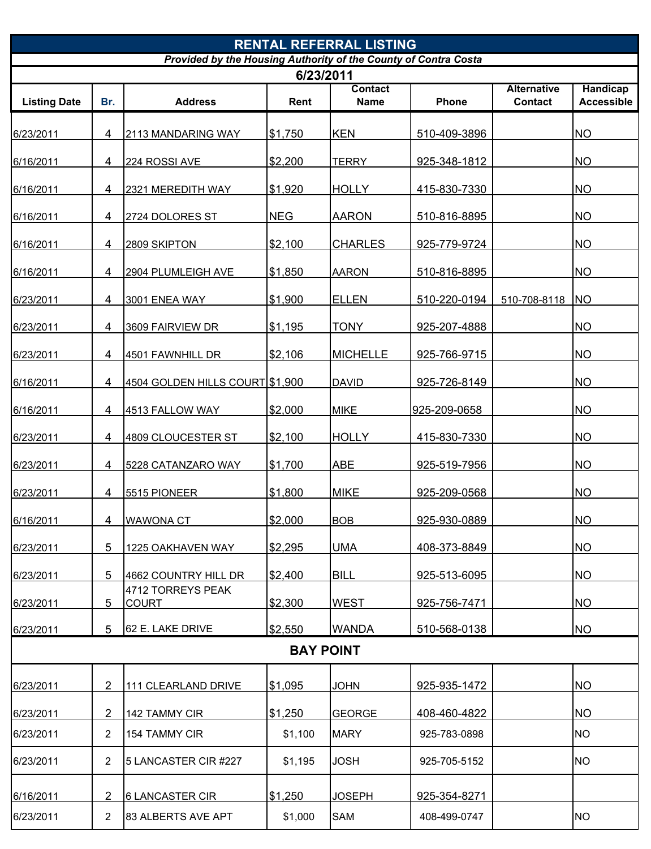| <b>RENTAL REFERRAL LISTING</b>                                  |                |                                   |            |                               |              |                                      |                                      |  |  |  |
|-----------------------------------------------------------------|----------------|-----------------------------------|------------|-------------------------------|--------------|--------------------------------------|--------------------------------------|--|--|--|
| Provided by the Housing Authority of the County of Contra Costa |                |                                   |            |                               |              |                                      |                                      |  |  |  |
|                                                                 |                |                                   |            | 6/23/2011                     |              |                                      |                                      |  |  |  |
| <b>Listing Date</b>                                             | Br.            | <b>Address</b>                    | Rent       | <b>Contact</b><br><b>Name</b> | Phone        | <b>Alternative</b><br><b>Contact</b> | <b>Handicap</b><br><b>Accessible</b> |  |  |  |
|                                                                 |                |                                   |            |                               |              |                                      |                                      |  |  |  |
| 6/23/2011                                                       | 4              | 2113 MANDARING WAY                | \$1,750    | <b>KEN</b>                    | 510-409-3896 |                                      | <b>NO</b>                            |  |  |  |
| 6/16/2011                                                       | 4              | 224 ROSSI AVE                     | \$2,200    | <b>TERRY</b>                  | 925-348-1812 |                                      | <b>NO</b>                            |  |  |  |
| 6/16/2011                                                       | 4              | 2321 MEREDITH WAY                 | \$1,920    | <b>HOLLY</b>                  | 415-830-7330 |                                      | <b>NO</b>                            |  |  |  |
| 6/16/2011                                                       | 4              | 2724 DOLORES ST                   | <b>NEG</b> | <b>AARON</b>                  | 510-816-8895 |                                      | <b>NO</b>                            |  |  |  |
| 6/16/2011                                                       | 4              | 2809 SKIPTON                      | \$2,100    | <b>CHARLES</b>                | 925-779-9724 |                                      | <b>NO</b>                            |  |  |  |
| 6/16/2011                                                       | 4              | 2904 PLUMLEIGH AVE                | \$1,850    | <b>AARON</b>                  | 510-816-8895 |                                      | <b>NO</b>                            |  |  |  |
| 6/23/2011                                                       | 4              | 3001 ENEA WAY                     | \$1,900    | <b>ELLEN</b>                  | 510-220-0194 | 510-708-8118 NO                      |                                      |  |  |  |
| 6/23/2011                                                       | 4              | 3609 FAIRVIEW DR                  | \$1,195    | <b>TONY</b>                   | 925-207-4888 |                                      | <b>NO</b>                            |  |  |  |
| 6/23/2011                                                       | 4              | 4501 FAWNHILL DR                  | \$2,106    | <b>MICHELLE</b>               | 925-766-9715 |                                      | <b>NO</b>                            |  |  |  |
| 6/16/2011                                                       | 4              | 4504 GOLDEN HILLS COURT \$1,900   |            | <b>DAVID</b>                  | 925-726-8149 |                                      | <b>NO</b>                            |  |  |  |
| 6/16/2011                                                       | 4              | 4513 FALLOW WAY                   | \$2,000    | <b>MIKE</b>                   | 925-209-0658 |                                      | <b>NO</b>                            |  |  |  |
| 6/23/2011                                                       | 4              | 4809 CLOUCESTER ST                | \$2,100    | <b>HOLLY</b>                  | 415-830-7330 |                                      | <b>NO</b>                            |  |  |  |
| 6/23/2011                                                       | 4              | 5228 CATANZARO WAY                | \$1,700    | <b>ABE</b>                    | 925-519-7956 |                                      | <b>NO</b>                            |  |  |  |
| 6/23/2011                                                       | 4              | 5515 PIONEER                      | \$1,800    | <b>MIKE</b>                   | 925-209-0568 |                                      | <b>NO</b>                            |  |  |  |
| 6/16/2011                                                       | 4              | <b>WAWONA CT</b>                  | \$2,000    | <b>BOB</b>                    | 925-930-0889 |                                      | <b>NO</b>                            |  |  |  |
| 6/23/2011                                                       | 5              | 1225 OAKHAVEN WAY                 | \$2,295    | <b>UMA</b>                    | 408-373-8849 |                                      | <b>NO</b>                            |  |  |  |
| 6/23/2011                                                       | 5              | 4662 COUNTRY HILL DR              | \$2,400    | <b>BILL</b>                   | 925-513-6095 |                                      | <b>NO</b>                            |  |  |  |
| 6/23/2011                                                       | 5              | 4712 TORREYS PEAK<br><b>COURT</b> | \$2,300    | <b>WEST</b>                   | 925-756-7471 |                                      | <b>NO</b>                            |  |  |  |
| 6/23/2011                                                       | 5              | 62 E. LAKE DRIVE                  | \$2,550    | <b>WANDA</b>                  | 510-568-0138 |                                      | <b>NO</b>                            |  |  |  |
|                                                                 |                |                                   |            | <b>BAY POINT</b>              |              |                                      |                                      |  |  |  |
| 6/23/2011                                                       | 2              | 111 CLEARLAND DRIVE               | \$1,095    | <b>JOHN</b>                   | 925-935-1472 |                                      | <b>NO</b>                            |  |  |  |
| 6/23/2011                                                       | 2              | 142 TAMMY CIR                     | \$1,250    | <b>GEORGE</b>                 | 408-460-4822 |                                      | <b>NO</b>                            |  |  |  |
| 6/23/2011                                                       | 2              | 154 TAMMY CIR                     | \$1,100    | <b>MARY</b>                   | 925-783-0898 |                                      | <b>NO</b>                            |  |  |  |
| 6/23/2011                                                       | 2              | 5 LANCASTER CIR #227              | \$1,195    | <b>JOSH</b>                   | 925-705-5152 |                                      | <b>NO</b>                            |  |  |  |
| 6/16/2011                                                       | 2              | <b>6 LANCASTER CIR</b>            | \$1,250    | <b>JOSEPH</b>                 | 925-354-8271 |                                      |                                      |  |  |  |
| 6/23/2011                                                       | $\overline{2}$ | 83 ALBERTS AVE APT                | \$1,000    | <b>SAM</b>                    | 408-499-0747 |                                      | <b>NO</b>                            |  |  |  |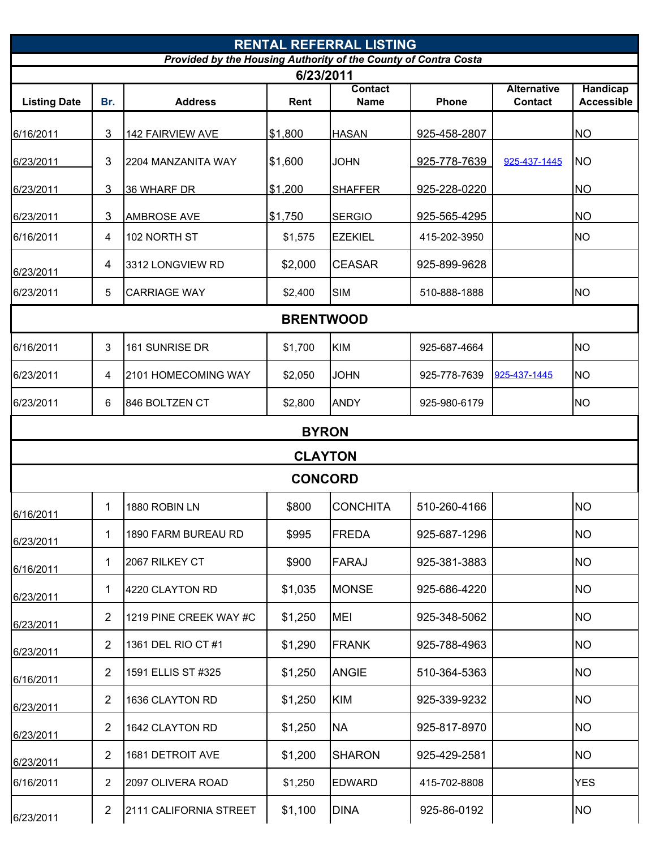|                                                                 |                |                        |                  | <b>RENTAL REFERRAL LISTING</b> |              |                    |                   |  |  |  |
|-----------------------------------------------------------------|----------------|------------------------|------------------|--------------------------------|--------------|--------------------|-------------------|--|--|--|
| Provided by the Housing Authority of the County of Contra Costa |                |                        |                  |                                |              |                    |                   |  |  |  |
|                                                                 |                |                        | 6/23/2011        | <b>Contact</b>                 |              | <b>Alternative</b> | <b>Handicap</b>   |  |  |  |
| <b>Listing Date</b>                                             | Br.            | <b>Address</b>         | Rent             | <b>Name</b>                    | Phone        | <b>Contact</b>     | <b>Accessible</b> |  |  |  |
|                                                                 |                |                        |                  |                                |              |                    |                   |  |  |  |
| 6/16/2011                                                       | 3              | 142 FAIRVIEW AVE       | \$1,800          | <b>HASAN</b>                   | 925-458-2807 |                    | <b>NO</b>         |  |  |  |
| 6/23/2011                                                       | 3              | 2204 MANZANITA WAY     | \$1,600          | <b>JOHN</b>                    | 925-778-7639 | 925-437-1445       | <b>NO</b>         |  |  |  |
| 6/23/2011                                                       | 3              | 36 WHARF DR            | \$1,200          | <b>SHAFFER</b>                 | 925-228-0220 |                    | <b>NO</b>         |  |  |  |
| 6/23/2011                                                       | 3              | <b>AMBROSE AVE</b>     | \$1,750          | <b>SERGIO</b>                  | 925-565-4295 |                    | <b>NO</b>         |  |  |  |
| 6/16/2011                                                       | 4              | 102 NORTH ST           | \$1,575          | <b>EZEKIEL</b>                 | 415-202-3950 |                    | <b>NO</b>         |  |  |  |
| 6/23/2011                                                       | 4              | 3312 LONGVIEW RD       | \$2,000          | <b>CEASAR</b>                  | 925-899-9628 |                    |                   |  |  |  |
| 6/23/2011                                                       | 5              | <b>CARRIAGE WAY</b>    | \$2,400          | <b>SIM</b>                     | 510-888-1888 |                    | <b>NO</b>         |  |  |  |
|                                                                 |                |                        | <b>BRENTWOOD</b> |                                |              |                    |                   |  |  |  |
| 6/16/2011                                                       | 3              | 161 SUNRISE DR         | \$1,700          | <b>KIM</b>                     | 925-687-4664 |                    | <b>NO</b>         |  |  |  |
| 6/23/2011                                                       | 4              | 2101 HOMECOMING WAY    | \$2,050          | <b>JOHN</b>                    | 925-778-7639 | 925-437-1445       | <b>NO</b>         |  |  |  |
| 6/23/2011                                                       | 6              | 846 BOLTZEN CT         | \$2,800          | <b>ANDY</b>                    | 925-980-6179 |                    | <b>NO</b>         |  |  |  |
|                                                                 |                |                        | <b>BYRON</b>     |                                |              |                    |                   |  |  |  |
|                                                                 |                |                        |                  | <b>CLAYTON</b>                 |              |                    |                   |  |  |  |
|                                                                 |                |                        | <b>CONCORD</b>   |                                |              |                    |                   |  |  |  |
| 6/16/2011                                                       | 1              | 1880 ROBIN LN          | \$800            | <b>CONCHITA</b>                | 510-260-4166 |                    | <b>NO</b>         |  |  |  |
| 6/23/2011                                                       | 1              | 1890 FARM BUREAU RD    | \$995            | <b>FREDA</b>                   | 925-687-1296 |                    | <b>NO</b>         |  |  |  |
| 6/16/2011                                                       | 1              | 2067 RILKEY CT         | \$900            | <b>FARAJ</b>                   | 925-381-3883 |                    | <b>NO</b>         |  |  |  |
| 6/23/2011                                                       | 1              | 4220 CLAYTON RD        | \$1,035          | <b>MONSE</b>                   | 925-686-4220 |                    | <b>NO</b>         |  |  |  |
| 6/23/2011                                                       | 2              | 1219 PINE CREEK WAY #C | \$1,250          | <b>MEI</b>                     | 925-348-5062 |                    | <b>NO</b>         |  |  |  |
| 6/23/2011                                                       | 2              | 1361 DEL RIO CT #1     | \$1,290          | <b>FRANK</b>                   | 925-788-4963 |                    | <b>NO</b>         |  |  |  |
| 6/16/2011                                                       | $\overline{2}$ | 1591 ELLIS ST #325     | \$1,250          | <b>ANGIE</b>                   | 510-364-5363 |                    | <b>NO</b>         |  |  |  |
| 6/23/2011                                                       | 2              | 1636 CLAYTON RD        | \$1,250          | <b>KIM</b>                     | 925-339-9232 |                    | <b>NO</b>         |  |  |  |
| 6/23/2011                                                       | 2              | 1642 CLAYTON RD        | \$1,250          | <b>NA</b>                      | 925-817-8970 |                    | <b>NO</b>         |  |  |  |
| 6/23/2011                                                       | $\overline{2}$ | 1681 DETROIT AVE       | \$1,200          | <b>SHARON</b>                  | 925-429-2581 |                    | <b>NO</b>         |  |  |  |
| 6/16/2011                                                       | 2              | 2097 OLIVERA ROAD      | \$1,250          | <b>EDWARD</b>                  | 415-702-8808 |                    | <b>YES</b>        |  |  |  |
| 6/23/2011                                                       | 2              | 2111 CALIFORNIA STREET | \$1,100          | <b>DINA</b>                    | 925-86-0192  |                    | <b>NO</b>         |  |  |  |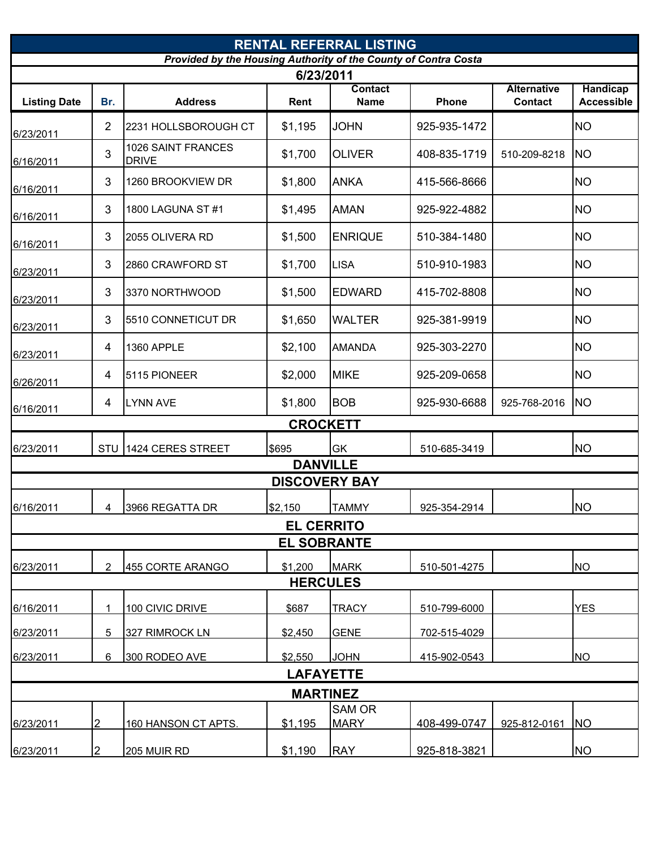|                                                                              | <b>RENTAL REFERRAL LISTING</b> |                                    |                    |                               |              |                               |                                      |  |  |  |
|------------------------------------------------------------------------------|--------------------------------|------------------------------------|--------------------|-------------------------------|--------------|-------------------------------|--------------------------------------|--|--|--|
| Provided by the Housing Authority of the County of Contra Costa<br>6/23/2011 |                                |                                    |                    |                               |              |                               |                                      |  |  |  |
| <b>Listing Date</b>                                                          | Br.                            | <b>Address</b>                     | Rent               | <b>Contact</b><br><b>Name</b> | Phone        | <b>Alternative</b><br>Contact | <b>Handicap</b><br><b>Accessible</b> |  |  |  |
| 6/23/2011                                                                    | $\overline{2}$                 | 2231 HOLLSBOROUGH CT               | \$1,195            | <b>JOHN</b>                   | 925-935-1472 |                               | <b>NO</b>                            |  |  |  |
| 6/16/2011                                                                    | 3                              | 1026 SAINT FRANCES<br><b>DRIVE</b> | \$1,700            | <b>OLIVER</b>                 | 408-835-1719 | 510-209-8218                  | <b>NO</b>                            |  |  |  |
| 6/16/2011                                                                    | 3                              | 1260 BROOKVIEW DR                  | \$1,800            | <b>ANKA</b>                   | 415-566-8666 |                               | <b>NO</b>                            |  |  |  |
| 6/16/2011                                                                    | 3                              | 1800 LAGUNA ST#1                   | \$1,495            | <b>AMAN</b>                   | 925-922-4882 |                               | <b>NO</b>                            |  |  |  |
| 6/16/2011                                                                    | 3                              | 2055 OLIVERA RD                    | \$1,500            | <b>ENRIQUE</b>                | 510-384-1480 |                               | <b>NO</b>                            |  |  |  |
| 6/23/2011                                                                    | 3                              | 2860 CRAWFORD ST                   | \$1,700            | <b>LISA</b>                   | 510-910-1983 |                               | <b>NO</b>                            |  |  |  |
| 6/23/2011                                                                    | 3                              | 3370 NORTHWOOD                     | \$1,500            | <b>EDWARD</b>                 | 415-702-8808 |                               | <b>NO</b>                            |  |  |  |
| 6/23/2011                                                                    | 3                              | 5510 CONNETICUT DR                 | \$1,650            | <b>WALTER</b>                 | 925-381-9919 |                               | <b>NO</b>                            |  |  |  |
| 6/23/2011                                                                    | 4                              | 1360 APPLE                         | \$2,100            | <b>AMANDA</b>                 | 925-303-2270 |                               | <b>NO</b>                            |  |  |  |
| 6/26/2011                                                                    | 4                              | 5115 PIONEER                       | \$2,000            | <b>MIKE</b>                   | 925-209-0658 |                               | <b>NO</b>                            |  |  |  |
| 6/16/2011                                                                    | 4                              | <b>LYNN AVE</b>                    | \$1,800            | <b>BOB</b>                    | 925-930-6688 | 925-768-2016                  | <b>NO</b>                            |  |  |  |
|                                                                              |                                |                                    | <b>CROCKETT</b>    |                               |              |                               |                                      |  |  |  |
| 6/23/2011                                                                    |                                | STU 1424 CERES STREET              | \$695              | <b>GK</b>                     | 510-685-3419 |                               | <b>NO</b>                            |  |  |  |
|                                                                              |                                |                                    |                    | <b>DANVILLE</b>               |              |                               |                                      |  |  |  |
|                                                                              |                                |                                    |                    | <b>DISCOVERY BAY</b>          |              |                               |                                      |  |  |  |
| 6/16/2011                                                                    | 4                              | 3966 REGATTA DR                    | \$2,150            | <b>TAMMY</b>                  | 925-354-2914 |                               | <b>NO</b>                            |  |  |  |
|                                                                              |                                |                                    | <b>EL CERRITO</b>  |                               |              |                               |                                      |  |  |  |
|                                                                              |                                |                                    | <b>EL SOBRANTE</b> |                               |              |                               |                                      |  |  |  |
| 6/23/2011                                                                    | $\overline{2}$                 | 455 CORTE ARANGO                   | \$1,200            | <b>MARK</b>                   | 510-501-4275 |                               | <b>NO</b>                            |  |  |  |
|                                                                              |                                |                                    |                    | <b>HERCULES</b>               |              |                               |                                      |  |  |  |
| 6/16/2011                                                                    | 1                              | 100 CIVIC DRIVE                    | \$687              | <b>TRACY</b>                  | 510-799-6000 |                               | <b>YES</b>                           |  |  |  |
| 6/23/2011                                                                    | 5                              | 327 RIMROCK LN                     | \$2,450            | <b>GENE</b>                   | 702-515-4029 |                               |                                      |  |  |  |
| 6/23/2011                                                                    | 6                              | 300 RODEO AVE                      | \$2,550            | <b>JOHN</b>                   | 415-902-0543 |                               | <b>NO</b>                            |  |  |  |
|                                                                              |                                |                                    | <b>LAFAYETTE</b>   |                               |              |                               |                                      |  |  |  |
|                                                                              |                                |                                    |                    | <b>MARTINEZ</b>               |              |                               |                                      |  |  |  |
| 6/23/2011                                                                    | 2                              | 160 HANSON CT APTS.                | \$1,195            | <b>SAM OR</b><br><b>MARY</b>  | 408-499-0747 | 925-812-0161                  | <b>NO</b>                            |  |  |  |
| 6/23/2011                                                                    | $\overline{2}$                 | 205 MUIR RD                        | \$1,190            | <b>RAY</b>                    | 925-818-3821 |                               | <b>NO</b>                            |  |  |  |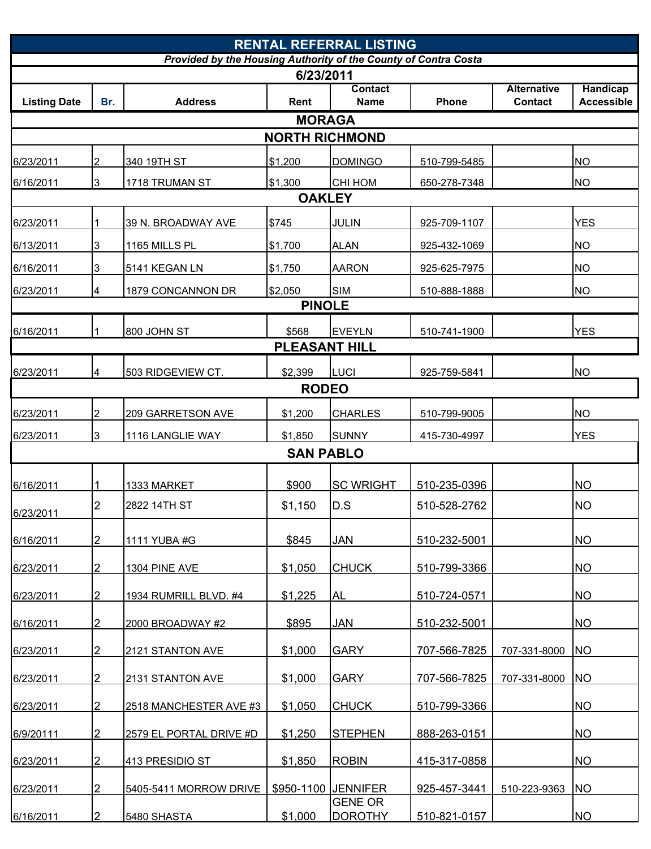| <b>RENTAL REFERRAL LISTING</b>                                  |                |                         |                      |                                  |              |                    |                   |  |  |  |
|-----------------------------------------------------------------|----------------|-------------------------|----------------------|----------------------------------|--------------|--------------------|-------------------|--|--|--|
| Provided by the Housing Authority of the County of Contra Costa |                |                         |                      |                                  |              |                    |                   |  |  |  |
|                                                                 |                |                         | 6/23/2011            | <b>Contact</b>                   |              | <b>Alternative</b> | <b>Handicap</b>   |  |  |  |
| <b>Listing Date</b>                                             | Br.            | <b>Address</b>          | Rent                 | <b>Name</b>                      | Phone        | <b>Contact</b>     | <b>Accessible</b> |  |  |  |
|                                                                 |                |                         | <b>MORAGA</b>        |                                  |              |                    |                   |  |  |  |
| <b>NORTH RICHMOND</b>                                           |                |                         |                      |                                  |              |                    |                   |  |  |  |
| 6/23/2011                                                       | $\overline{2}$ | 340 19TH ST             | \$1,200              | <b>DOMINGO</b>                   | 510-799-5485 |                    | <b>NO</b>         |  |  |  |
| 6/16/2011                                                       | 3              | 1718 TRUMAN ST          | \$1,300              | <b>CHI HOM</b>                   | 650-278-7348 |                    | <b>NO</b>         |  |  |  |
| <b>OAKLEY</b>                                                   |                |                         |                      |                                  |              |                    |                   |  |  |  |
| 6/23/2011                                                       |                | 39 N. BROADWAY AVE      | \$745                | <b>JULIN</b>                     | 925-709-1107 |                    | <b>YES</b>        |  |  |  |
| 6/13/2011                                                       | 3              | 1165 MILLS PL           | \$1,700              | <b>ALAN</b>                      | 925-432-1069 |                    | <b>NO</b>         |  |  |  |
| 6/16/2011                                                       | 3              | 5141 KEGAN LN           | \$1,750              | <b>AARON</b>                     | 925-625-7975 |                    | <b>NO</b>         |  |  |  |
| 6/23/2011                                                       | 4              | 1879 CONCANNON DR       | \$2,050              | <b>SIM</b>                       | 510-888-1888 |                    | <b>NO</b>         |  |  |  |
|                                                                 |                |                         | <b>PINOLE</b>        |                                  |              |                    |                   |  |  |  |
| 6/16/2011                                                       |                | 800 JOHN ST             | \$568                | <b>EVEYLN</b>                    | 510-741-1900 |                    | <b>YES</b>        |  |  |  |
|                                                                 |                |                         | <b>PLEASANT HILL</b> |                                  |              |                    |                   |  |  |  |
| 6/23/2011                                                       | 4              | 503 RIDGEVIEW CT.       | \$2,399              | LUCI                             | 925-759-5841 |                    | <b>NO</b>         |  |  |  |
|                                                                 |                |                         | <b>RODEO</b>         |                                  |              |                    |                   |  |  |  |
| 6/23/2011                                                       | $\overline{2}$ | 209 GARRETSON AVE       | \$1,200              | <b>CHARLES</b>                   | 510-799-9005 |                    | <b>NO</b>         |  |  |  |
| 6/23/2011                                                       | 3              | 1116 LANGLIE WAY        | \$1,850              | <b>SUNNY</b>                     | 415-730-4997 |                    | <b>YES</b>        |  |  |  |
|                                                                 |                |                         | <b>SAN PABLO</b>     |                                  |              |                    |                   |  |  |  |
|                                                                 |                |                         |                      |                                  |              |                    |                   |  |  |  |
| 6/16/2011                                                       |                | 1333 MARKET             | \$900                | <b>SC WRIGHT</b>                 | 510-235-0396 |                    | <b>NO</b>         |  |  |  |
| 6/23/2011                                                       | 2              | 2822 14TH ST            | \$1,150              | D.S                              | 510-528-2762 |                    | <b>NO</b>         |  |  |  |
| 6/16/2011                                                       | $\overline{2}$ | 1111 YUBA #G            | \$845                | <b>JAN</b>                       | 510-232-5001 |                    | <b>NO</b>         |  |  |  |
|                                                                 |                |                         |                      |                                  |              |                    |                   |  |  |  |
| 6/23/2011                                                       | $\overline{2}$ | <b>1304 PINE AVE</b>    | \$1,050              | <b>CHUCK</b>                     | 510-799-3366 |                    | <b>NO</b>         |  |  |  |
| 6/23/2011                                                       | $\overline{2}$ | 1934 RUMRILL BLVD. #4   | \$1,225              | AL                               | 510-724-0571 |                    | <b>NO</b>         |  |  |  |
| 6/16/2011                                                       | $\overline{2}$ | 2000 BROADWAY #2        | \$895                | JAN                              | 510-232-5001 |                    | <b>NO</b>         |  |  |  |
|                                                                 |                |                         |                      |                                  |              |                    |                   |  |  |  |
| 6/23/2011                                                       | 2              | 2121 STANTON AVE        | \$1,000              | <b>GARY</b>                      | 707-566-7825 | 707-331-8000       | <b>NO</b>         |  |  |  |
| 6/23/2011                                                       | 2              | 2131 STANTON AVE        | \$1,000              | <b>GARY</b>                      | 707-566-7825 | 707-331-8000       | <b>NO</b>         |  |  |  |
| 6/23/2011                                                       | <sup>2</sup>   | 2518 MANCHESTER AVE #3  | \$1,050              | <b>CHUCK</b>                     | 510-799-3366 |                    | <b>NO</b>         |  |  |  |
| 6/9/20111                                                       | 2              | 2579 EL PORTAL DRIVE #D | \$1,250              | <b>STEPHEN</b>                   | 888-263-0151 |                    | <b>NO</b>         |  |  |  |
|                                                                 |                |                         |                      |                                  |              |                    |                   |  |  |  |
| 6/23/2011                                                       | $\overline{2}$ | 413 PRESIDIO ST         | \$1,850              | <b>ROBIN</b>                     | 415-317-0858 |                    | <b>NO</b>         |  |  |  |
| 6/23/2011                                                       | $\mathcal{P}$  | 5405-5411 MORROW DRIVE  |                      | \$950-1100 JENNIFER              | 925-457-3441 | 510-223-9363       | <b>NO</b>         |  |  |  |
| 6/16/2011                                                       | $\overline{2}$ | 5480 SHASTA             | \$1,000              | <b>GENE OR</b><br><b>DOROTHY</b> | 510-821-0157 |                    | <b>NO</b>         |  |  |  |